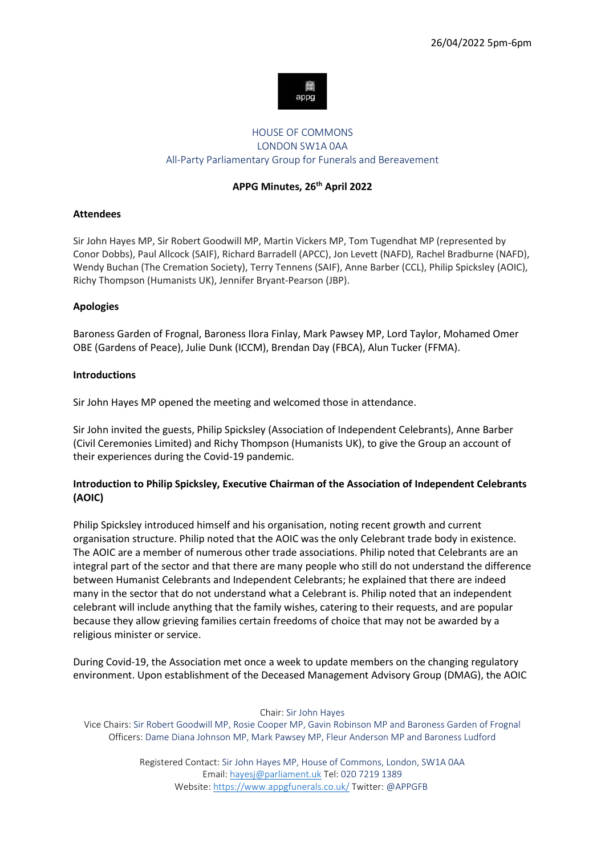

## HOUSE OF COMMONS LONDON SW1A 0AA All-Party Parliamentary Group for Funerals and Bereavement

## **APPG Minutes, 26th April 2022**

### **Attendees**

Sir John Hayes MP, Sir Robert Goodwill MP, Martin Vickers MP, Tom Tugendhat MP (represented by Conor Dobbs), Paul Allcock (SAIF), Richard Barradell (APCC), Jon Levett (NAFD), Rachel Bradburne (NAFD), Wendy Buchan (The Cremation Society), Terry Tennens (SAIF), Anne Barber (CCL), Philip Spicksley (AOIC), Richy Thompson (Humanists UK), Jennifer Bryant-Pearson (JBP).

# **Apologies**

Baroness Garden of Frognal, Baroness Ilora Finlay, Mark Pawsey MP, Lord Taylor, Mohamed Omer OBE (Gardens of Peace), Julie Dunk (ICCM), Brendan Day (FBCA), Alun Tucker (FFMA).

### **Introductions**

Sir John Hayes MP opened the meeting and welcomed those in attendance.

Sir John invited the guests, Philip Spicksley (Association of Independent Celebrants), Anne Barber (Civil Ceremonies Limited) and Richy Thompson (Humanists UK), to give the Group an account of their experiences during the Covid-19 pandemic.

# **Introduction to Philip Spicksley, Executive Chairman of the Association of Independent Celebrants (AOIC)**

Philip Spicksley introduced himself and his organisation, noting recent growth and current organisation structure. Philip noted that the AOIC was the only Celebrant trade body in existence. The AOIC are a member of numerous other trade associations. Philip noted that Celebrants are an integral part of the sector and that there are many people who still do not understand the difference between Humanist Celebrants and Independent Celebrants; he explained that there are indeed many in the sector that do not understand what a Celebrant is. Philip noted that an independent celebrant will include anything that the family wishes, catering to their requests, and are popular because they allow grieving families certain freedoms of choice that may not be awarded by a religious minister or service.

During Covid-19, the Association met once a week to update members on the changing regulatory environment. Upon establishment of the Deceased Management Advisory Group (DMAG), the AOIC

Chair: Sir John Hayes

Vice Chairs: Sir Robert Goodwill MP, Rosie Cooper MP, Gavin Robinson MP and Baroness Garden of Frognal Officers: Dame Diana Johnson MP, Mark Pawsey MP, Fleur Anderson MP and Baroness Ludford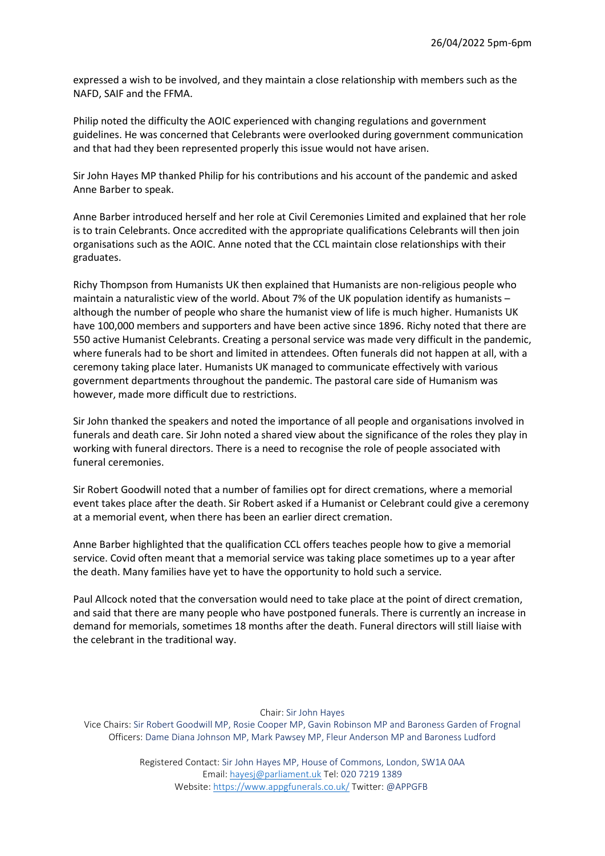expressed a wish to be involved, and they maintain a close relationship with members such as the NAFD, SAIF and the FFMA.

Philip noted the difficulty the AOIC experienced with changing regulations and government guidelines. He was concerned that Celebrants were overlooked during government communication and that had they been represented properly this issue would not have arisen.

Sir John Hayes MP thanked Philip for his contributions and his account of the pandemic and asked Anne Barber to speak.

Anne Barber introduced herself and her role at Civil Ceremonies Limited and explained that her role is to train Celebrants. Once accredited with the appropriate qualifications Celebrants will then join organisations such as the AOIC. Anne noted that the CCL maintain close relationships with their graduates.

Richy Thompson from Humanists UK then explained that Humanists are non-religious people who maintain a naturalistic view of the world. About 7% of the UK population identify as humanists – although the number of people who share the humanist view of life is much higher. Humanists UK have 100,000 members and supporters and have been active since 1896. Richy noted that there are 550 active Humanist Celebrants. Creating a personal service was made very difficult in the pandemic, where funerals had to be short and limited in attendees. Often funerals did not happen at all, with a ceremony taking place later. Humanists UK managed to communicate effectively with various government departments throughout the pandemic. The pastoral care side of Humanism was however, made more difficult due to restrictions.

Sir John thanked the speakers and noted the importance of all people and organisations involved in funerals and death care. Sir John noted a shared view about the significance of the roles they play in working with funeral directors. There is a need to recognise the role of people associated with funeral ceremonies.

Sir Robert Goodwill noted that a number of families opt for direct cremations, where a memorial event takes place after the death. Sir Robert asked if a Humanist or Celebrant could give a ceremony at a memorial event, when there has been an earlier direct cremation.

Anne Barber highlighted that the qualification CCL offers teaches people how to give a memorial service. Covid often meant that a memorial service was taking place sometimes up to a year after the death. Many families have yet to have the opportunity to hold such a service.

Paul Allcock noted that the conversation would need to take place at the point of direct cremation, and said that there are many people who have postponed funerals. There is currently an increase in demand for memorials, sometimes 18 months after the death. Funeral directors will still liaise with the celebrant in the traditional way.

Chair: Sir John Hayes

Vice Chairs: Sir Robert Goodwill MP, Rosie Cooper MP, Gavin Robinson MP and Baroness Garden of Frognal Officers: Dame Diana Johnson MP, Mark Pawsey MP, Fleur Anderson MP and Baroness Ludford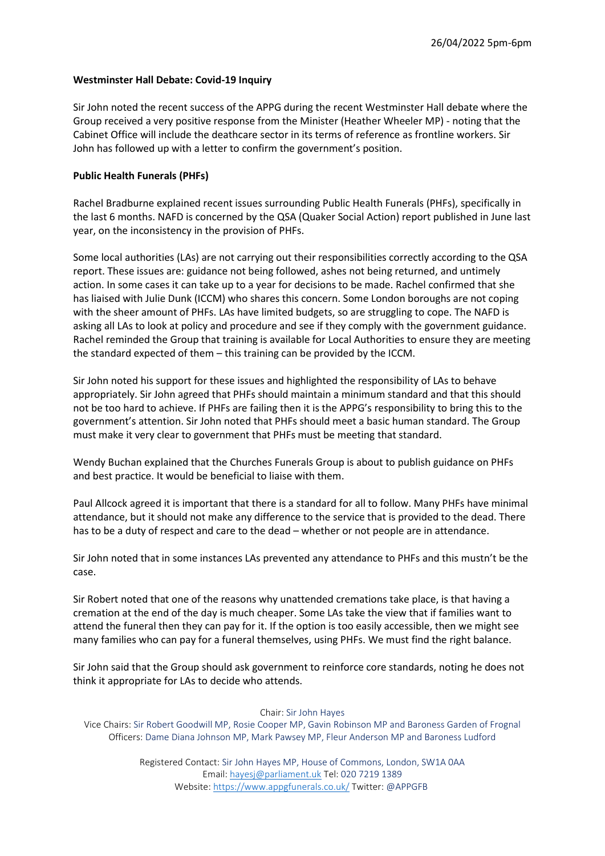## **Westminster Hall Debate: Covid-19 Inquiry**

Sir John noted the recent success of the APPG during the recent Westminster Hall debate where the Group received a very positive response from the Minister (Heather Wheeler MP) - noting that the Cabinet Office will include the deathcare sector in its terms of reference as frontline workers. Sir John has followed up with a letter to confirm the government's position.

# **Public Health Funerals (PHFs)**

Rachel Bradburne explained recent issues surrounding Public Health Funerals (PHFs), specifically in the last 6 months. NAFD is concerned by the QSA (Quaker Social Action) report published in June last year, on the inconsistency in the provision of PHFs.

Some local authorities (LAs) are not carrying out their responsibilities correctly according to the QSA report. These issues are: guidance not being followed, ashes not being returned, and untimely action. In some cases it can take up to a year for decisions to be made. Rachel confirmed that she has liaised with Julie Dunk (ICCM) who shares this concern. Some London boroughs are not coping with the sheer amount of PHFs. LAs have limited budgets, so are struggling to cope. The NAFD is asking all LAs to look at policy and procedure and see if they comply with the government guidance. Rachel reminded the Group that training is available for Local Authorities to ensure they are meeting the standard expected of them – this training can be provided by the ICCM.

Sir John noted his support for these issues and highlighted the responsibility of LAs to behave appropriately. Sir John agreed that PHFs should maintain a minimum standard and that this should not be too hard to achieve. If PHFs are failing then it is the APPG's responsibility to bring this to the government's attention. Sir John noted that PHFs should meet a basic human standard. The Group must make it very clear to government that PHFs must be meeting that standard.

Wendy Buchan explained that the Churches Funerals Group is about to publish guidance on PHFs and best practice. It would be beneficial to liaise with them.

Paul Allcock agreed it is important that there is a standard for all to follow. Many PHFs have minimal attendance, but it should not make any difference to the service that is provided to the dead. There has to be a duty of respect and care to the dead – whether or not people are in attendance.

Sir John noted that in some instances LAs prevented any attendance to PHFs and this mustn't be the case.

Sir Robert noted that one of the reasons why unattended cremations take place, is that having a cremation at the end of the day is much cheaper. Some LAs take the view that if families want to attend the funeral then they can pay for it. If the option is too easily accessible, then we might see many families who can pay for a funeral themselves, using PHFs. We must find the right balance.

Sir John said that the Group should ask government to reinforce core standards, noting he does not think it appropriate for LAs to decide who attends.

Chair: Sir John Hayes

Vice Chairs: Sir Robert Goodwill MP, Rosie Cooper MP, Gavin Robinson MP and Baroness Garden of Frognal Officers: Dame Diana Johnson MP, Mark Pawsey MP, Fleur Anderson MP and Baroness Ludford